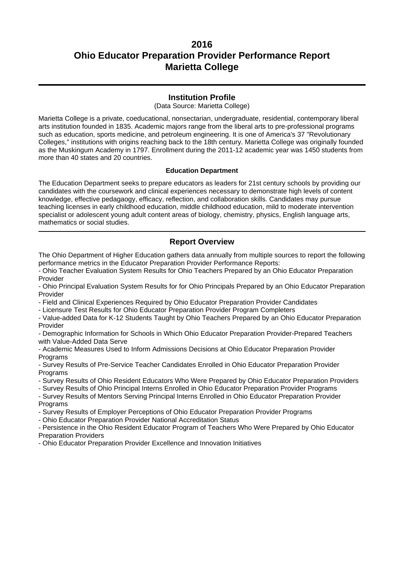### **Institution Profile**

(Data Source: Marietta College)

Marietta College is a private, coeducational, nonsectarian, undergraduate, residential, contemporary liberal arts institution founded in 1835. Academic majors range from the liberal arts to pre-professional programs such as education, sports medicine, and petroleum engineering. It is one of America's 37 "Revolutionary Colleges," institutions with origins reaching back to the 18th century. Marietta College was originally founded as the Muskingum Academy in 1797. Enrollment during the 2011-12 academic year was 1450 students from more than 40 states and 20 countries.

#### **Education Department**

The Education Department seeks to prepare educators as leaders for 21st century schools by providing our candidates with the coursework and clinical experiences necessary to demonstrate high levels of content knowledge, effective pedagaogy, efficacy, reflection, and collaboration skills. Candidates may pursue teaching licenses in early childhood education, middle childhood education, mild to moderate intervention specialist or adolescent young adult content areas of biology, chemistry, physics, English language arts, mathematics or social studies.

### **Report Overview**

The Ohio Department of Higher Education gathers data annually from multiple sources to report the following performance metrics in the Educator Preparation Provider Performance Reports:

- Ohio Teacher Evaluation System Results for Ohio Teachers Prepared by an Ohio Educator Preparation Provider

- Ohio Principal Evaluation System Results for for Ohio Principals Prepared by an Ohio Educator Preparation Provider

- Field and Clinical Experiences Required by Ohio Educator Preparation Provider Candidates

- Licensure Test Results for Ohio Educator Preparation Provider Program Completers

- Value-added Data for K-12 Students Taught by Ohio Teachers Prepared by an Ohio Educator Preparation Provider

- Demographic Information for Schools in Which Ohio Educator Preparation Provider-Prepared Teachers with Value-Added Data Serve

- Academic Measures Used to Inform Admissions Decisions at Ohio Educator Preparation Provider Programs

- Survey Results of Pre-Service Teacher Candidates Enrolled in Ohio Educator Preparation Provider **Programs** 

- Survey Results of Ohio Resident Educators Who Were Prepared by Ohio Educator Preparation Providers

- Survey Results of Ohio Principal Interns Enrolled in Ohio Educator Preparation Provider Programs

- Survey Results of Mentors Serving Principal Interns Enrolled in Ohio Educator Preparation Provider Programs

- Survey Results of Employer Perceptions of Ohio Educator Preparation Provider Programs

- Ohio Educator Preparation Provider National Accreditation Status

- Persistence in the Ohio Resident Educator Program of Teachers Who Were Prepared by Ohio Educator Preparation Providers

- Ohio Educator Preparation Provider Excellence and Innovation Initiatives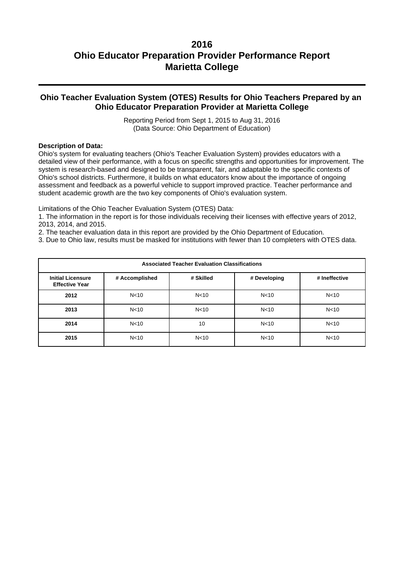### **Ohio Teacher Evaluation System (OTES) Results for Ohio Teachers Prepared by an Ohio Educator Preparation Provider at Marietta College**

Reporting Period from Sept 1, 2015 to Aug 31, 2016 (Data Source: Ohio Department of Education)

#### **Description of Data:**

Ohio's system for evaluating teachers (Ohio's Teacher Evaluation System) provides educators with a detailed view of their performance, with a focus on specific strengths and opportunities for improvement. The system is research-based and designed to be transparent, fair, and adaptable to the specific contexts of Ohio's school districts. Furthermore, it builds on what educators know about the importance of ongoing assessment and feedback as a powerful vehicle to support improved practice. Teacher performance and student academic growth are the two key components of Ohio's evaluation system.

Limitations of the Ohio Teacher Evaluation System (OTES) Data:

1. The information in the report is for those individuals receiving their licenses with effective years of 2012, 2013, 2014, and 2015.

2. The teacher evaluation data in this report are provided by the Ohio Department of Education.

3. Due to Ohio law, results must be masked for institutions with fewer than 10 completers with OTES data.

| <b>Associated Teacher Evaluation Classifications</b> |                 |                 |                 |                 |  |
|------------------------------------------------------|-----------------|-----------------|-----------------|-----------------|--|
| <b>Initial Licensure</b><br><b>Effective Year</b>    | # Accomplished  | # Skilled       | # Developing    | # Ineffective   |  |
| 2012                                                 | N <sub>10</sub> | N <sub>10</sub> | N <sub>10</sub> | N <sub>10</sub> |  |
| 2013                                                 | N <sub>10</sub> | N <sub>10</sub> | N <sub>10</sub> | N <sub>10</sub> |  |
| 2014                                                 | N <sub>10</sub> | 10              | N <sub>10</sub> | N <sub>10</sub> |  |
| 2015                                                 | N <sub>10</sub> | N <sub>10</sub> | N <sub>10</sub> | N <sub>10</sub> |  |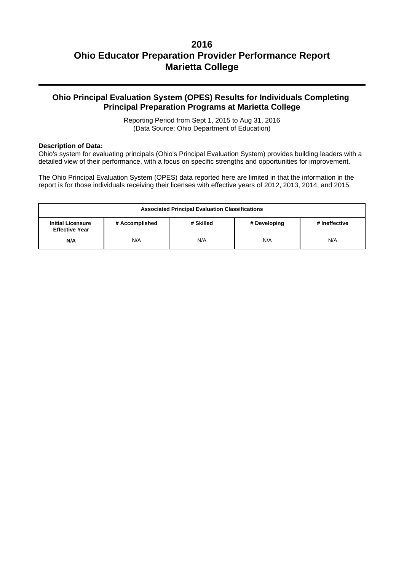### **Ohio Principal Evaluation System (OPES) Results for Individuals Completing Principal Preparation Programs at Marietta College**

Reporting Period from Sept 1, 2015 to Aug 31, 2016 (Data Source: Ohio Department of Education)

#### **Description of Data:**

Ohio's system for evaluating principals (Ohio's Principal Evaluation System) provides building leaders with a detailed view of their performance, with a focus on specific strengths and opportunities for improvement.

The Ohio Principal Evaluation System (OPES) data reported here are limited in that the information in the report is for those individuals receiving their licenses with effective years of 2012, 2013, 2014, and 2015.

| <b>Associated Principal Evaluation Classifications</b>                                                            |     |     |     |     |  |
|-------------------------------------------------------------------------------------------------------------------|-----|-----|-----|-----|--|
| <b>Initial Licensure</b><br># Accomplished<br># Skilled<br># Developing<br># Ineffective<br><b>Effective Year</b> |     |     |     |     |  |
| N/A                                                                                                               | N/A | N/A | N/A | N/A |  |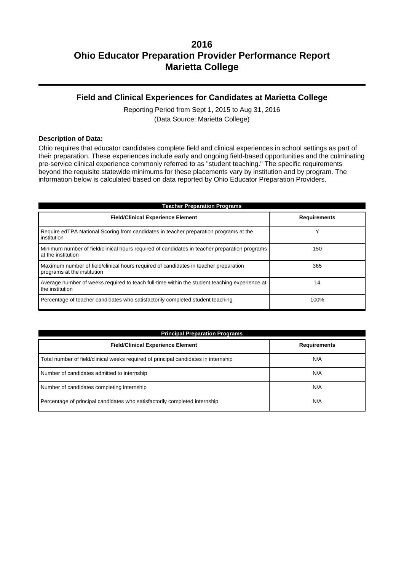### **Field and Clinical Experiences for Candidates at Marietta College**

Reporting Period from Sept 1, 2015 to Aug 31, 2016 (Data Source: Marietta College)

#### **Description of Data:**

Ohio requires that educator candidates complete field and clinical experiences in school settings as part of their preparation. These experiences include early and ongoing field-based opportunities and the culminating pre-service clinical experience commonly referred to as "student teaching." The specific requirements beyond the requisite statewide minimums for these placements vary by institution and by program. The information below is calculated based on data reported by Ohio Educator Preparation Providers.

| <b>Teacher Preparation Programs</b>                                                                                 |                     |  |  |  |
|---------------------------------------------------------------------------------------------------------------------|---------------------|--|--|--|
| <b>Field/Clinical Experience Element</b>                                                                            | <b>Requirements</b> |  |  |  |
| Require edTPA National Scoring from candidates in teacher preparation programs at the<br>institution                | v                   |  |  |  |
| Minimum number of field/clinical hours required of candidates in teacher preparation programs<br>at the institution | 150                 |  |  |  |
| Maximum number of field/clinical hours required of candidates in teacher preparation<br>programs at the institution | 365                 |  |  |  |
| Average number of weeks required to teach full-time within the student teaching experience at<br>the institution    | 14                  |  |  |  |
| Percentage of teacher candidates who satisfactorily completed student teaching                                      | 100%                |  |  |  |

| <b>Principal Preparation Programs</b>                                               |                     |  |  |  |
|-------------------------------------------------------------------------------------|---------------------|--|--|--|
| <b>Field/Clinical Experience Element</b>                                            | <b>Requirements</b> |  |  |  |
| Total number of field/clinical weeks required of principal candidates in internship | N/A                 |  |  |  |
| Number of candidates admitted to internship                                         | N/A                 |  |  |  |
| Number of candidates completing internship                                          | N/A                 |  |  |  |
| Percentage of principal candidates who satisfactorily completed internship          | N/A                 |  |  |  |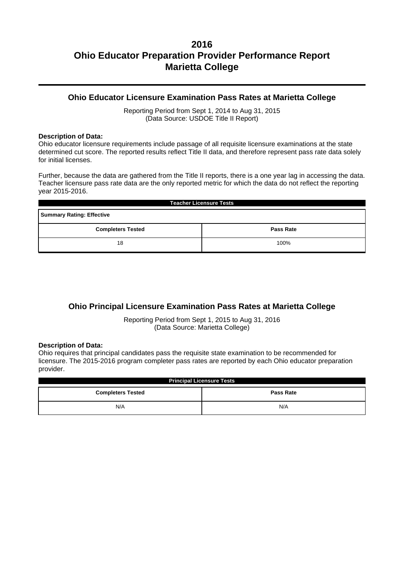### **Ohio Educator Licensure Examination Pass Rates at Marietta College**

Reporting Period from Sept 1, 2014 to Aug 31, 2015 (Data Source: USDOE Title II Report)

#### **Description of Data:**

Ohio educator licensure requirements include passage of all requisite licensure examinations at the state determined cut score. The reported results reflect Title II data, and therefore represent pass rate data solely for initial licenses.

Further, because the data are gathered from the Title II reports, there is a one year lag in accessing the data. Teacher licensure pass rate data are the only reported metric for which the data do not reflect the reporting year 2015-2016.

| <b>Teacher Licensure Tests</b>               |  |  |  |  |
|----------------------------------------------|--|--|--|--|
| <b>Summary Rating: Effective</b>             |  |  |  |  |
| <b>Completers Tested</b><br><b>Pass Rate</b> |  |  |  |  |
| 100%<br>18                                   |  |  |  |  |

## **Ohio Principal Licensure Examination Pass Rates at Marietta College**

Reporting Period from Sept 1, 2015 to Aug 31, 2016 (Data Source: Marietta College)

#### **Description of Data:**

Ohio requires that principal candidates pass the requisite state examination to be recommended for licensure. The 2015-2016 program completer pass rates are reported by each Ohio educator preparation provider.

| <b>Principal Licensure Tests</b>             |     |  |  |  |
|----------------------------------------------|-----|--|--|--|
| <b>Completers Tested</b><br><b>Pass Rate</b> |     |  |  |  |
| N/A                                          | N/A |  |  |  |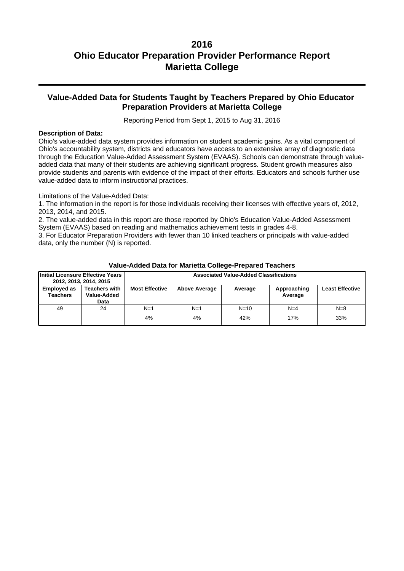### **Value-Added Data for Students Taught by Teachers Prepared by Ohio Educator Preparation Providers at Marietta College**

Reporting Period from Sept 1, 2015 to Aug 31, 2016

#### **Description of Data:**

Ohio's value-added data system provides information on student academic gains. As a vital component of Ohio's accountability system, districts and educators have access to an extensive array of diagnostic data through the Education Value-Added Assessment System (EVAAS). Schools can demonstrate through valueadded data that many of their students are achieving significant progress. Student growth measures also provide students and parents with evidence of the impact of their efforts. Educators and schools further use value-added data to inform instructional practices.

Limitations of the Value-Added Data:

1. The information in the report is for those individuals receiving their licenses with effective years of, 2012, 2013, 2014, and 2015.

2. The value-added data in this report are those reported by Ohio's Education Value-Added Assessment System (EVAAS) based on reading and mathematics achievement tests in grades 4-8.

3. For Educator Preparation Providers with fewer than 10 linked teachers or principals with value-added data, only the number (N) is reported.

| Initial Licensure Effective Years     | 2012, 2013, 2014, 2015                      | <b>Associated Value-Added Classifications</b> |                      |          |                        |                        |
|---------------------------------------|---------------------------------------------|-----------------------------------------------|----------------------|----------|------------------------|------------------------|
| <b>Employed as</b><br><b>Teachers</b> | <b>Teachers with</b><br>Value-Added<br>Data | <b>Most Effective</b>                         | <b>Above Average</b> | Average  | Approaching<br>Average | <b>Least Effective</b> |
| 49                                    | 24                                          | $N=1$                                         | $N=1$                | $N = 10$ | $N=4$                  | $N=8$                  |
|                                       |                                             | 4%                                            | 4%                   | 42%      | 17%                    | 33%                    |

#### **Value-Added Data for Marietta College-Prepared Teachers**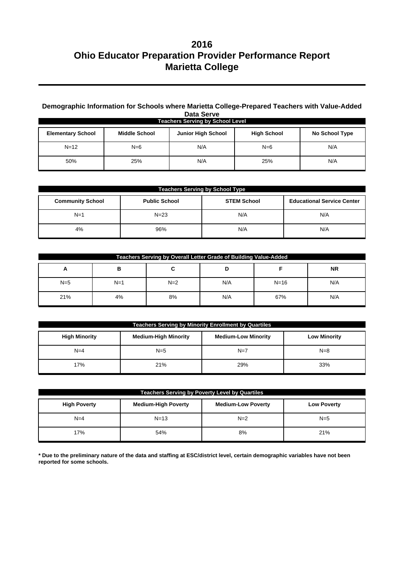### **Demographic Information for Schools where Marietta College-Prepared Teachers with Value-Added Data Serve**

| <b>Teachers Serving by School Level</b> |                      |                           |                    |                       |  |
|-----------------------------------------|----------------------|---------------------------|--------------------|-----------------------|--|
| <b>Elementary School</b>                | <b>Middle School</b> | <b>Junior High School</b> | <b>High School</b> | <b>No School Type</b> |  |
| $N = 12$                                | $N=6$                | N/A                       | $N=6$              | N/A                   |  |
| 50%                                     | 25%                  | N/A                       | 25%                | N/A                   |  |

| <b>Teachers Serving by School Type</b> |                      |                    |                                   |  |  |
|----------------------------------------|----------------------|--------------------|-----------------------------------|--|--|
| <b>Community School</b>                | <b>Public School</b> | <b>STEM School</b> | <b>Educational Service Center</b> |  |  |
| $N=1$                                  | $N=23$               | N/A                | N/A                               |  |  |
| 4%                                     | 96%                  | N/A                | N/A                               |  |  |

| Teachers Serving by Overall Letter Grade of Building Value-Added |       |       |     |          |           |
|------------------------------------------------------------------|-------|-------|-----|----------|-----------|
| A                                                                | в     | ີ     |     |          | <b>NR</b> |
| $N=5$                                                            | $N=1$ | $N=2$ | N/A | $N = 16$ | N/A       |
| 21%                                                              | 4%    | 8%    | N/A | 67%      | N/A       |

| <b>Teachers Serving by Minority Enrollment by Quartiles</b> |                             |                            |                     |  |  |
|-------------------------------------------------------------|-----------------------------|----------------------------|---------------------|--|--|
| <b>High Minority</b>                                        | <b>Medium-High Minority</b> | <b>Medium-Low Minority</b> | <b>Low Minority</b> |  |  |
| $N=4$                                                       | $N=5$                       | $N=7$                      | $N = 8$             |  |  |
| 17%                                                         | 21%                         | 29%                        | 33%                 |  |  |

| <b>Teachers Serving by Poverty Level by Quartiles</b>                                                |          |       |       |  |  |
|------------------------------------------------------------------------------------------------------|----------|-------|-------|--|--|
| <b>High Poverty</b><br><b>Medium-High Poverty</b><br><b>Medium-Low Poverty</b><br><b>Low Poverty</b> |          |       |       |  |  |
| $N=4$                                                                                                | $N = 13$ | $N=2$ | $N=5$ |  |  |
| 17%                                                                                                  | 54%      | 8%    | 21%   |  |  |

**\* Due to the preliminary nature of the data and staffing at ESC/district level, certain demographic variables have not been reported for some schools.**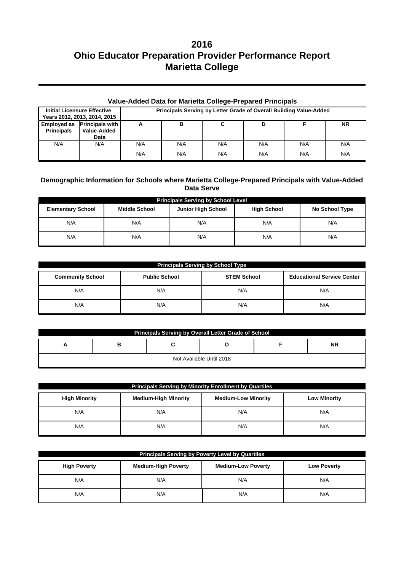| Value-Added Data for Marietta College-Prepared Principals |                                                    |     |                                                                    |     |     |     |           |
|-----------------------------------------------------------|----------------------------------------------------|-----|--------------------------------------------------------------------|-----|-----|-----|-----------|
| <b>Initial Licensure Effective</b>                        | Years 2012, 2013, 2014, 2015                       |     | Principals Serving by Letter Grade of Overall Building Value-Added |     |     |     |           |
| <b>Principals</b>                                         | Employed as Principals with<br>Value-Added<br>Data | А   | в                                                                  | C   | D   |     | <b>NR</b> |
| N/A                                                       | N/A                                                | N/A | N/A                                                                | N/A | N/A | N/A | N/A       |
|                                                           |                                                    | N/A | N/A                                                                | N/A | N/A | N/A | N/A       |

### **Demographic Information for Schools where Marietta College-Prepared Principals with Value-Added Data Serve**

| <b>Principals Serving by School Level</b> |                      |                           |                    |                |  |  |  |
|-------------------------------------------|----------------------|---------------------------|--------------------|----------------|--|--|--|
| <b>Elementary School</b>                  | <b>Middle School</b> | <b>Junior High School</b> | <b>High School</b> | No School Type |  |  |  |
| N/A                                       | N/A                  | N/A                       | N/A                | N/A            |  |  |  |
| N/A                                       | N/A                  | N/A                       | N/A                | N/A            |  |  |  |

| <b>Principals Serving by School Type</b> |                    |                                   |     |  |  |  |
|------------------------------------------|--------------------|-----------------------------------|-----|--|--|--|
| <b>Community School</b>                  | <b>STEM School</b> | <b>Educational Service Center</b> |     |  |  |  |
| N/A                                      | N/A                | N/A                               | N/A |  |  |  |
| N/A                                      | N/A                | N/A                               | N/A |  |  |  |

| Principals Serving by Overall Letter Grade of School |   |  |  |  |           |  |  |
|------------------------------------------------------|---|--|--|--|-----------|--|--|
| <u>_</u>                                             | в |  |  |  | <b>NR</b> |  |  |
| Not Available Until 2018                             |   |  |  |  |           |  |  |

| <b>Principals Serving by Minority Enrollment by Quartiles</b> |                             |                            |                     |  |  |  |  |
|---------------------------------------------------------------|-----------------------------|----------------------------|---------------------|--|--|--|--|
| <b>High Minority</b>                                          | <b>Medium-High Minority</b> | <b>Medium-Low Minority</b> | <b>Low Minority</b> |  |  |  |  |
| N/A                                                           | N/A                         | N/A                        | N/A                 |  |  |  |  |
| N/A                                                           | N/A                         | N/A                        | N/A                 |  |  |  |  |

| <b>Principals Serving by Poverty Level by Quartiles</b>                                              |     |     |     |  |  |  |
|------------------------------------------------------------------------------------------------------|-----|-----|-----|--|--|--|
| <b>Medium-High Poverty</b><br><b>Medium-Low Poverty</b><br><b>High Poverty</b><br><b>Low Poverty</b> |     |     |     |  |  |  |
| N/A                                                                                                  | N/A | N/A | N/A |  |  |  |
| N/A                                                                                                  | N/A | N/A | N/A |  |  |  |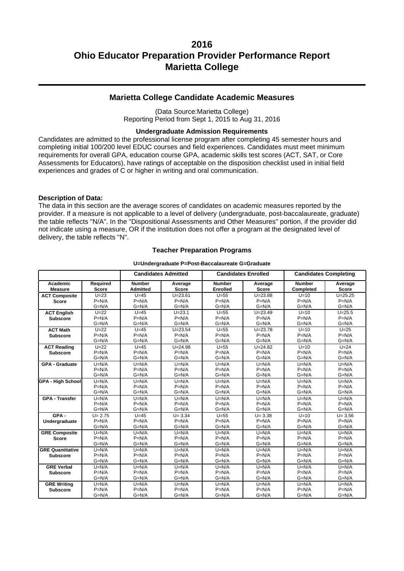### **Marietta College Candidate Academic Measures**

(Data Source:Marietta College) Reporting Period from Sept 1, 2015 to Aug 31, 2016

#### **Undergraduate Admission Requirements**

Candidates are admitted to the professional license program after completing 45 semester hours and completing initial 100/200 level EDUC courses and field experiences. Candidates must meet minimum requirements for overall GPA, education course GPA, academic skills test scores (ACT, SAT, or Core Assessments for Educators), have ratings of acceptable on the disposition checklist used in initial field experiences and grades of C or higher in writing and oral communication.

#### **Description of Data:**

The data in this section are the average scores of candidates on academic measures reported by the provider. If a measure is not applicable to a level of delivery (undergraduate, post-baccalaureate, graduate) the table reflects "N/A". In the "Dispositional Assessments and Other Measures" portion, if the provider did not indicate using a measure, OR if the institution does not offer a program at the designated level of delivery, the table reflects "N".

#### **Teacher Preparation Programs**

#### **U=Undergraduate P=Post-Baccalaureate G=Graduate**

|                            |                          |                                  | <b>Candidates Admitted</b> | <b>Candidates Enrolled</b> |                         | <b>Candidates Completing</b> |                         |
|----------------------------|--------------------------|----------------------------------|----------------------------|----------------------------|-------------------------|------------------------------|-------------------------|
| Academic<br><b>Measure</b> | Required<br><b>Score</b> | <b>Number</b><br><b>Admitted</b> | Average<br><b>Score</b>    | <b>Number</b><br>Enrolled  | Average<br><b>Score</b> | <b>Number</b><br>Completed   | Average<br><b>Score</b> |
| <b>ACT Composite</b>       | $U=23$                   | $U=45$                           | $U = 23.61$                | $U=55$                     | $U = 23.88$             | $U=10$                       | $U = 25.25$             |
| <b>Score</b>               | $P=N/A$                  | $P=N/A$                          | $P=N/A$                    | $P=N/A$                    | $P=N/A$                 | $P=N/A$                      | $P=N/A$                 |
|                            | $G=N/A$                  | $G=N/A$                          | $G=N/A$                    | $G=N/A$                    | $G=N/A$                 | $G=N/A$                      | $G=N/A$                 |
| <b>ACT English</b>         | $U=22$                   | $U=45$                           | $U = 23.1$                 | $U=55$                     | $U = 23.49$             | $U=10$                       | $U = 25.5$              |
| <b>Subscore</b>            | $P=N/A$                  | $P=N/A$                          | $P=N/A$                    | $P=N/A$                    | $P=N/A$                 | $P=N/A$                      | $P=N/A$                 |
|                            | $G=N/A$                  | $G=N/A$                          | $G=N/A$                    | $G=N/A$                    | $G=N/A$                 | $G=N/A$                      | $G=N/A$                 |
| <b>ACT Math</b>            | $U=22$                   | $U=45$                           | $U = 23.54$                | $U=55$                     | $U = 23.78$             | $U=10$                       | $U=25$                  |
| <b>Subscore</b>            | $P=N/A$                  | $P=N/A$                          | $P=N/A$                    | $P=N/A$                    | $P=N/A$                 | $P=N/A$                      | $P=N/A$                 |
|                            | $G=N/A$                  | $G=N/A$                          | $G=N/A$                    | $G=N/A$                    | $G=N/A$                 | $G=N/A$                      | $G=N/A$                 |
| <b>ACT Reading</b>         | $U=22$                   | $U=45$                           | $U = 24.98$                | $U=55$                     | $U = 24.82$             | $U=10$                       | $U = 24$                |
| <b>Subscore</b>            | $P=N/A$                  | $P=N/A$                          | $P=N/A$                    | $P=N/A$                    | $P=N/A$                 | $P=N/A$                      | $P=N/A$                 |
|                            | $G=N/A$                  | $G=N/A$                          | $G=N/A$                    | $G=N/A$                    | $G=N/A$                 | $G=N/A$                      | $G=N/A$                 |
| <b>GPA - Graduate</b>      | $U=N/A$                  | $U=N/A$                          | $U=N/A$                    | $U=N/A$                    | $U=N/A$                 | $U=N/A$                      | $U=N/A$                 |
|                            | $P=N/A$                  | $P=N/A$                          | $P=N/A$                    | $P=N/A$                    | $P=N/A$                 | $P=N/A$                      | $P=N/A$                 |
|                            | $G=N/A$                  | $G=N/A$                          | $G=N/A$                    | $G=N/A$                    | $G=N/A$                 | $G=N/A$                      | $G=N/A$                 |
| <b>GPA - High School</b>   | $U=N/A$                  | $U=N/A$                          | $U=N/A$                    | $U=N/A$                    | $U=N/A$                 | $U=N/A$                      | $U=N/A$                 |
|                            | $P=N/A$                  | $P=N/A$                          | $P=N/A$                    | $P=N/A$                    | $P=N/A$                 | $P=N/A$                      | $P=N/A$                 |
|                            | $G=N/A$                  | $G=N/A$                          | $G=N/A$                    | $G=N/A$                    | $G=N/A$                 | $G=N/A$                      | $G=N/A$                 |
| <b>GPA - Transfer</b>      | $U=N/A$                  | $U=N/A$                          | $U=N/A$                    | $U=N/A$                    | $U=N/A$                 | $U=N/A$                      | $U=N/A$                 |
|                            | $P=N/A$                  | $P=N/A$                          | $P=N/A$                    | $P=N/A$                    | $P=N/A$                 | $P=N/A$                      | $P=N/A$                 |
|                            | $G=N/A$                  | $G=N/A$                          | $G=N/A$                    | $G=N/A$                    | $G=N/A$                 | $G=N/A$                      | $G=N/A$                 |
| GPA-                       | $U = 2.75$               | $U=45$                           | $U = 3.34$                 | $U=55$                     | $U = 3.38$              | $U=10$                       | $U = 3.56$              |
| Undergraduate              | $P=N/A$                  | $P=N/A$                          | $P=N/A$                    | $P=N/A$                    | $P=N/A$                 | $P=N/A$                      | $P=N/A$                 |
|                            | $G=N/A$                  | $G=N/A$                          | $G=N/A$                    | $G=N/A$                    | $G=N/A$                 | $G=N/A$                      | $G=N/A$                 |
| <b>GRE Composite</b>       | $U=N/A$                  | $U=N/A$                          | $U=N/A$                    | $U=N/A$                    | $U=N/A$                 | $U=N/A$                      | $U=N/A$                 |
| <b>Score</b>               | $P=N/A$                  | $P=N/A$                          | $P=N/A$                    | $P=N/A$                    | $P=N/A$                 | $P=N/A$                      | $P=N/A$                 |
|                            | $G=N/A$                  | $G=N/A$                          | $G=N/A$                    | $G=N/A$                    | $G=N/A$                 | $G=N/A$                      | $G=N/A$                 |
| <b>GRE Quantitative</b>    | $U=N/A$                  | $U=N/A$                          | $U=N/A$                    | $U=N/A$                    | $U=N/A$                 | $U=N/A$                      | $U=N/A$                 |
| <b>Subscore</b>            | $P=N/A$                  | $P=N/A$                          | $P=N/A$                    | $P=N/A$                    | $P=N/A$                 | $P=N/A$                      | $P=N/A$                 |
|                            | $G=N/A$                  | $G=N/A$                          | $G=N/A$                    | $G=N/A$                    | $G=N/A$                 | $G=N/A$                      | $G=N/A$                 |
| <b>GRE Verbal</b>          | $U=N/A$                  | $U=N/A$                          | $U=N/A$                    | $U=N/A$                    | $U=N/A$                 | $U=N/A$                      | $U=N/A$                 |
| <b>Subscore</b>            | $P=N/A$                  | $P=N/A$                          | $P=N/A$                    | $P=N/A$                    | $P=N/A$                 | $P=N/A$                      | $P=N/A$                 |
|                            | $G=N/A$                  | $G=N/A$                          | $G=N/A$                    | $G=N/A$                    | $G=N/A$                 | $G=N/A$                      | $G=N/A$                 |
| <b>GRE Writing</b>         | $U=N/A$                  | $U=N/A$                          | $U=N/A$                    | $U=N/A$                    | $U=N/A$                 | $U=N/A$                      | $U=N/A$                 |
| <b>Subscore</b>            | $P=N/A$                  | $P=N/A$                          | $P=N/A$                    | $P=N/A$                    | $P=N/A$                 | $P=N/A$                      | $P=N/A$                 |
|                            | $G=N/A$                  | $G=N/A$                          | $G=N/A$                    | $G=N/A$                    | $G=N/A$                 | $G=N/A$                      | $G=N/A$                 |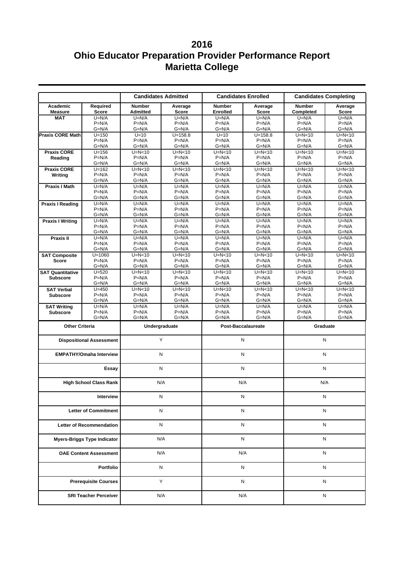|                                    |                                 |                      | <b>Candidates Admitted</b> |                     | <b>Candidates Enrolled</b> | <b>Candidates Completing</b> |                     |  |
|------------------------------------|---------------------------------|----------------------|----------------------------|---------------------|----------------------------|------------------------------|---------------------|--|
| Academic                           | Required                        | <b>Number</b>        | Average                    | <b>Number</b>       | Average                    | <b>Number</b>                | Average             |  |
| <b>Measure</b>                     | Score                           | <b>Admitted</b>      | Score                      | <b>Enrolled</b>     | Score                      | <b>Completed</b>             | Score               |  |
| <b>MAT</b>                         | $U=N/A$                         | $U=N/A$              | $U=N/A$                    | $U=N/A$             | $U=N/A$                    | $U=N/A$                      | $U=N/A$             |  |
|                                    | $P=N/A$                         | $P=N/A$              | $P=N/A$                    | $P=N/A$             | $P=N/A$                    | $P=N/A$                      | $P=N/A$             |  |
|                                    | $G=N/A$                         | $G=N/A$              | $G=N/A$                    | $G=N/A$             | $G=N/A$                    | $G=N/A$                      | $G=N/A$             |  |
| <b>Praxis CORE Math</b>            | $U = 150$<br>$P=N/A$            | $U=10$<br>$P=N/A$    | $U = 158.8$<br>$P=N/A$     | $U=10$<br>$P=N/A$   | $U = 158.8$<br>$P=N/A$     | $U=N<10$<br>$P=N/A$          | $U=N<10$<br>$P=N/A$ |  |
|                                    | $G=N/A$                         | $G=N/A$              | $G=N/A$                    | $G=N/A$             | $G=N/A$                    | $G=N/A$                      | $G=N/A$             |  |
| <b>Praxis CORE</b>                 | $U = 156$                       | $U=N<10$             | $U=N<10$                   | $U=N<10$            | $U=N<10$                   | $U=N<10$                     | $U=N<10$            |  |
| Reading                            | $P=N/A$                         | $P=N/A$              | $P=N/A$                    | $P=N/A$             | $P=N/A$                    | $P=N/A$                      | $P=N/A$             |  |
|                                    | $G=N/A$                         | $G=N/A$              | $G=N/A$                    | $G=N/A$             | $G=N/A$                    | $G=N/A$                      | $G=N/A$             |  |
| <b>Praxis CORE</b>                 | $U = 162$                       | $\overline{U}$ =N<10 | $U=N<10$                   | $U=N<10$            | $U=N<10$                   | $U=N<10$                     | $U=N<10$            |  |
| Writing                            | $P=N/A$<br>$G=N/A$              | $P=N/A$<br>$G=N/A$   | $P=N/A$<br>$G=N/A$         | $P=N/A$<br>$G=N/A$  | $P=N/A$<br>$G=N/A$         | $P=N/A$<br>$G=N/A$           | $P=N/A$<br>$G=N/A$  |  |
| <b>Praxis I Math</b>               | $U=N/A$                         | $U=N/A$              | $U=N/A$                    | $U=N/A$             | $U=N/A$                    | $U=N/A$                      | $U=N/A$             |  |
|                                    | $P=N/A$                         | $P=N/A$              | $P=N/A$                    | $P=N/A$             | $P=N/A$                    | $P=N/A$                      | $P=N/A$             |  |
|                                    | $G=N/A$                         | $G=N/A$              | $G=N/A$                    | $G=N/A$             | $G=N/A$                    | $G=N/A$                      | $G=N/A$             |  |
| <b>Praxis I Reading</b>            | $U=N/A$                         | $U=N/A$              | $U=N/A$                    | $U=N/A$             | $U=N/A$                    | $U=N/A$                      | $U=N/A$             |  |
|                                    | $P=N/A$                         | $P=N/A$              | $P=N/A$                    | $P=N/A$             | $P=N/A$                    | $P=N/A$                      | $P=N/A$             |  |
|                                    | $G=N/A$                         | $G=N/A$              | $G=N/A$                    | $G=N/A$             | $G=N/A$                    | $G=N/A$                      | $G=N/A$             |  |
| <b>Praxis I Writing</b>            | $U=N/A$<br>$P=N/A$              | $U=N/A$              | $U=N/A$<br>$P=N/A$         | $U=N/A$             | $U=N/A$                    | $U=N/A$<br>$P=N/A$           | $U=N/A$             |  |
|                                    | $G=N/A$                         | $P=N/A$<br>$G=N/A$   | $G=N/A$                    | $P=N/A$<br>$G=N/A$  | $P=N/A$<br>$G=N/A$         | $G=N/A$                      | $P=N/A$<br>$G=N/A$  |  |
| <b>Praxis II</b>                   | $U=N/A$                         | $U=N/A$              | $U=N/A$                    | $U=N/A$             | $U=N/A$                    | $U=N/A$                      | $U=N/A$             |  |
|                                    | $P=N/A$                         | $P=N/A$              | $P=N/A$                    | $P=N/A$             | $P=N/A$                    | $P=N/A$                      | $P=N/A$             |  |
|                                    | $G=N/A$                         | $G=N/A$              | $G=N/A$                    | $G=N/A$             | $G=N/A$                    | $G=N/A$                      | $G=N/A$             |  |
| <b>SAT Composite</b>               | $U = 1060$                      | $U=N<10$             | $U=N<10$                   | $U=N<10$            | $\overline{U}$ =N<10       | $U=N<10$                     | $U=N<10$            |  |
| <b>Score</b>                       | $P=N/A$                         | $P=N/A$              | $P=N/A$                    | $P=N/A$             | $P=N/A$                    | $P=N/A$                      | $P=N/A$             |  |
|                                    | $G=N/A$                         | $G=N/A$              | $G=N/A$                    | $G=N/A$             | $G=N/A$                    | $G=N/A$                      | $G=N/A$             |  |
| <b>SAT Quantitative</b>            | $U = 520$                       | $U=N<10$             | $U=N<10$<br>$P=N/A$        | $U=N<10$<br>$P=N/A$ | $U=N<10$                   | $U=N<10$                     | $U=N<10$            |  |
| <b>Subscore</b>                    | $P=N/A$<br>$G=N/A$              | $P=N/A$<br>$G=N/A$   | $G=N/A$                    | $G=N/A$             | $P=N/A$<br>$G=N/A$         | $P=N/A$<br>$G=N/A$           | $P=N/A$<br>$G=N/A$  |  |
| <b>SAT Verbal</b>                  | $U = 450$                       | $U=N<10$             | $U=N<10$                   | $U=N<10$            | $U=N<10$                   | $U=N<10$                     | $U=N<10$            |  |
| <b>Subscore</b>                    | $P=N/A$                         | $P=N/A$              | $P=N/A$                    | $P=N/A$             | $P=N/A$                    | $P=N/A$                      | $P=N/A$             |  |
|                                    | $G=N/A$                         | G=N/A                | $G=N/A$                    | $G=N/A$             | $G=N/A$                    | $G=N/A$                      | $G=N/A$             |  |
| <b>SAT Writing</b>                 | $U=N/A$                         | $U=N/A$              | $U=N/A$                    | $U=N/A$             | $U=N/A$                    | $U=N/A$                      | $U=N/A$             |  |
| <b>Subscore</b>                    | $P=N/A$                         | $P=N/A$              | $P=N/A$                    | $P=N/A$             | $P=N/A$                    | $P=N/A$                      | $P=N/A$             |  |
|                                    | $G=N/A$                         | $G=N/A$              | $G=N/A$                    | $G=N/A$             | $G=N/A$                    | $G=N/A$                      | $G=N/A$             |  |
| <b>Other Criteria</b>              |                                 | Undergraduate        |                            |                     | <b>Post-Baccalaureate</b>  |                              | Graduate            |  |
|                                    | <b>Dispositional Assessment</b> | Υ                    |                            | N                   |                            | N                            |                     |  |
|                                    |                                 |                      |                            |                     |                            |                              |                     |  |
|                                    | <b>EMPATHY/Omaha Interview</b>  | N                    |                            | N                   |                            | N                            |                     |  |
|                                    | Essay                           |                      | N                          | N                   |                            | N                            |                     |  |
|                                    | <b>High School Class Rank</b>   |                      | N/A                        | N/A                 |                            | N/A                          |                     |  |
|                                    | Interview                       |                      | Ν                          | N                   |                            | Ν                            |                     |  |
|                                    |                                 |                      | N                          | N                   |                            |                              | N                   |  |
| <b>Letter of Commitment</b>        |                                 |                      |                            |                     |                            |                              |                     |  |
| <b>Letter of Recommendation</b>    |                                 |                      | N                          |                     | N                          |                              | N                   |  |
| <b>Myers-Briggs Type Indicator</b> |                                 |                      | N/A                        |                     | N                          |                              | Ν                   |  |
| <b>OAE Content Assessment</b>      |                                 |                      | N/A                        |                     | N/A                        |                              | N                   |  |
| Portfolio                          |                                 | Ν                    |                            | N                   |                            | N                            |                     |  |
|                                    | <b>Prerequisite Courses</b>     |                      | Y                          |                     | N                          |                              | Ν                   |  |
|                                    | <b>SRI Teacher Perceiver</b>    |                      | N/A                        |                     | N/A                        |                              | Ν                   |  |
|                                    |                                 |                      |                            |                     |                            |                              |                     |  |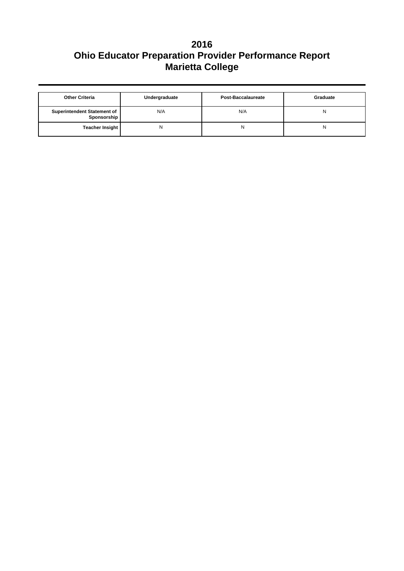| <b>Other Criteria</b><br>Undergraduate            |     | Post-Baccalaureate | Graduate |  |
|---------------------------------------------------|-----|--------------------|----------|--|
| <b>Superintendent Statement of</b><br>Sponsorship | N/A | N/A                | Ν        |  |
| <b>Teacher Insight</b>                            | N   | N                  | Ν        |  |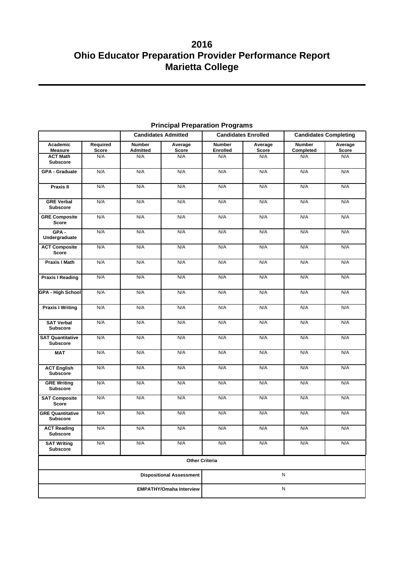| <b>Candidates Admitted</b>                 |                   | <b>Candidates Enrolled</b><br><b>Candidates Completing</b> |                       |                                  |                         |                            |                  |
|--------------------------------------------|-------------------|------------------------------------------------------------|-----------------------|----------------------------------|-------------------------|----------------------------|------------------|
| Academic<br><b>Measure</b>                 | Required<br>Score | <b>Number</b><br><b>Admitted</b>                           | Average<br>Score      | <b>Number</b><br><b>Enrolled</b> | Average<br><b>Score</b> | <b>Number</b><br>Completed | Average<br>Score |
| <b>ACT Math</b>                            | N/A               | N/A                                                        | N/A                   | N/A                              | N/A                     | N/A                        | N/A              |
| <b>Subscore</b>                            |                   |                                                            |                       |                                  |                         |                            |                  |
| <b>GPA - Graduate</b>                      | N/A               | N/A                                                        | N/A                   | N/A                              | N/A                     | N/A                        | N/A              |
| Praxis II                                  | N/A               | N/A                                                        | N/A                   | N/A                              | N/A                     | N/A                        | N/A              |
| <b>GRE Verbal</b><br><b>Subscore</b>       | N/A               | N/A                                                        | N/A                   | N/A                              | N/A                     | N/A                        | N/A              |
| <b>GRE Composite</b><br><b>Score</b>       | N/A               | N/A                                                        | N/A                   | N/A                              | N/A                     | N/A                        | N/A              |
| GPA-<br>Undergraduate                      | N/A               | N/A                                                        | N/A                   | N/A                              | N/A                     | N/A                        | N/A              |
| <b>ACT Composite</b><br><b>Score</b>       | N/A               | N/A                                                        | N/A                   | N/A                              | N/A                     | N/A                        | N/A              |
| Praxis I Math                              | N/A               | N/A                                                        | N/A                   | N/A                              | N/A                     | N/A                        | N/A              |
| <b>Praxis I Reading</b>                    | N/A               | N/A                                                        | N/A                   | N/A                              | N/A                     | N/A                        | N/A              |
| GPA - High School                          | N/A               | N/A                                                        | N/A                   | N/A                              | N/A                     | N/A                        | N/A              |
| <b>Praxis I Writing</b>                    | N/A               | N/A                                                        | N/A                   | N/A                              | N/A                     | N/A                        | N/A              |
| <b>SAT Verbal</b><br><b>Subscore</b>       | N/A               | N/A                                                        | N/A                   | N/A                              | N/A                     | N/A                        | N/A              |
| <b>SAT Quantitative</b><br><b>Subscore</b> | N/A               | N/A                                                        | N/A                   | N/A                              | N/A                     | N/A                        | N/A              |
| <b>MAT</b>                                 | N/A               | N/A                                                        | N/A                   | N/A                              | N/A                     | N/A                        | N/A              |
| <b>ACT English</b><br><b>Subscore</b>      | N/A               | N/A                                                        | N/A                   | N/A                              | N/A                     | N/A                        | N/A              |
| <b>GRE Writing</b><br><b>Subscore</b>      | N/A               | N/A                                                        | N/A                   | N/A                              | N/A                     | N/A                        | N/A              |
| <b>SAT Composite</b><br><b>Score</b>       | N/A               | N/A                                                        | N/A                   | N/A                              | N/A                     | N/A                        | N/A              |
| <b>GRE Quantitative</b><br><b>Subscore</b> | N/A               | N/A                                                        | N/A                   | N/A                              | N/A                     | N/A                        | N/A              |
| <b>ACT Reading</b><br>Subscore             | N/A               | N/A                                                        | N/A                   | N/A                              | N/A                     | N/A                        | N/A              |
| <b>SAT Writing</b><br><b>Subscore</b>      | N/A               | N/A                                                        | N/A                   | N/A                              | N/A                     | N/A                        | N/A              |
|                                            |                   |                                                            | <b>Other Criteria</b> |                                  |                         |                            |                  |
| <b>Dispositional Assessment</b>            |                   |                                                            | ${\sf N}$             |                                  |                         |                            |                  |
| <b>EMPATHY/Omaha Interview</b>             |                   |                                                            |                       | ${\sf N}$                        |                         |                            |                  |

## **Principal Preparation Programs**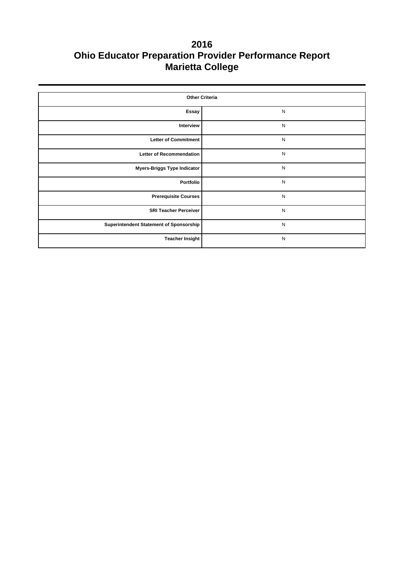| <b>Other Criteria</b>                   |           |  |  |  |  |
|-----------------------------------------|-----------|--|--|--|--|
| Essay                                   | N         |  |  |  |  |
| Interview                               | ${\sf N}$ |  |  |  |  |
| <b>Letter of Commitment</b>             | N         |  |  |  |  |
| <b>Letter of Recommendation</b>         | N         |  |  |  |  |
| <b>Myers-Briggs Type Indicator</b>      | N         |  |  |  |  |
| Portfolio                               | ${\sf N}$ |  |  |  |  |
| <b>Prerequisite Courses</b>             | N         |  |  |  |  |
| <b>SRI Teacher Perceiver</b>            | ${\sf N}$ |  |  |  |  |
| Superintendent Statement of Sponsorship | ${\sf N}$ |  |  |  |  |
| <b>Teacher Insight</b>                  | ${\sf N}$ |  |  |  |  |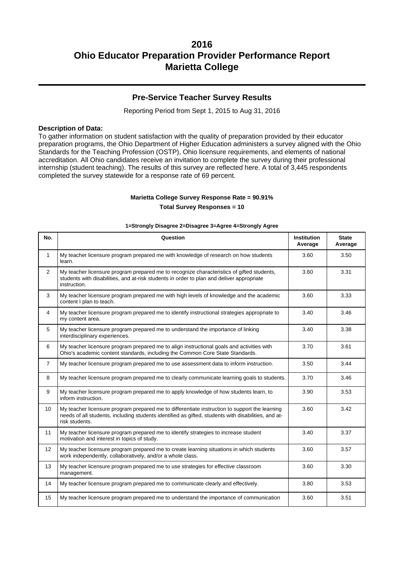### **Pre-Service Teacher Survey Results**

Reporting Period from Sept 1, 2015 to Aug 31, 2016

#### **Description of Data:**

To gather information on student satisfaction with the quality of preparation provided by their educator preparation programs, the Ohio Department of Higher Education administers a survey aligned with the Ohio Standards for the Teaching Profession (OSTP), Ohio licensure requirements, and elements of national accreditation. All Ohio candidates receive an invitation to complete the survey during their professional internship (student teaching). The results of this survey are reflected here. A total of 3,445 respondents completed the survey statewide for a response rate of 69 percent.

#### **Marietta College Survey Response Rate = 90.91%**

**Total Survey Responses = 10**

#### **1=Strongly Disagree 2=Disagree 3=Agree 4=Strongly Agree**

| No.            | Question                                                                                                                                                                                                               | Institution<br>Average | <b>State</b><br>Average |
|----------------|------------------------------------------------------------------------------------------------------------------------------------------------------------------------------------------------------------------------|------------------------|-------------------------|
| $\mathbf{1}$   | My teacher licensure program prepared me with knowledge of research on how students<br>learn.                                                                                                                          | 3.60                   | 3.50                    |
| $\overline{2}$ | My teacher licensure program prepared me to recognize characteristics of gifted students,<br>students with disabilities, and at-risk students in order to plan and deliver appropriate<br>instruction.                 | 3.60                   | 3.31                    |
| 3              | My teacher licensure program prepared me with high levels of knowledge and the academic<br>content I plan to teach.                                                                                                    | 3.60                   | 3.33                    |
| $\overline{4}$ | My teacher licensure program prepared me to identify instructional strategies appropriate to<br>my content area.                                                                                                       | 3.40                   | 3.46                    |
| 5              | My teacher licensure program prepared me to understand the importance of linking<br>interdisciplinary experiences.                                                                                                     | 3.40                   | 3.38                    |
| 6              | My teacher licensure program prepared me to align instructional goals and activities with<br>Ohio's academic content standards, including the Common Core State Standards.                                             | 3.70                   | 3.61                    |
| $\overline{7}$ | My teacher licensure program prepared me to use assessment data to inform instruction.                                                                                                                                 | 3.50                   | 3.44                    |
| 8              | My teacher licensure program prepared me to clearly communicate learning goals to students.                                                                                                                            | 3.70                   | 3.46                    |
| 9              | My teacher licensure program prepared me to apply knowledge of how students learn, to<br>inform instruction.                                                                                                           | 3.90                   | 3.53                    |
| 10             | My teacher licensure program prepared me to differentiate instruction to support the learning<br>needs of all students, including students identified as gifted, students with disabilities, and at-<br>risk students. | 3.60                   | 3.42                    |
| 11             | My teacher licensure program prepared me to identify strategies to increase student<br>motivation and interest in topics of study.                                                                                     | 3.40                   | 3.37                    |
| 12             | My teacher licensure program prepared me to create learning situations in which students<br>work independently, collaboratively, and/or a whole class.                                                                 | 3.60                   | 3.57                    |
| 13             | My teacher licensure program prepared me to use strategies for effective classroom<br>management.                                                                                                                      | 3.60                   | 3.30                    |
| 14             | My teacher licensure program prepared me to communicate clearly and effectively.                                                                                                                                       | 3.80                   | 3.53                    |
| 15             | My teacher licensure program prepared me to understand the importance of communication                                                                                                                                 | 3.60                   | 3.51                    |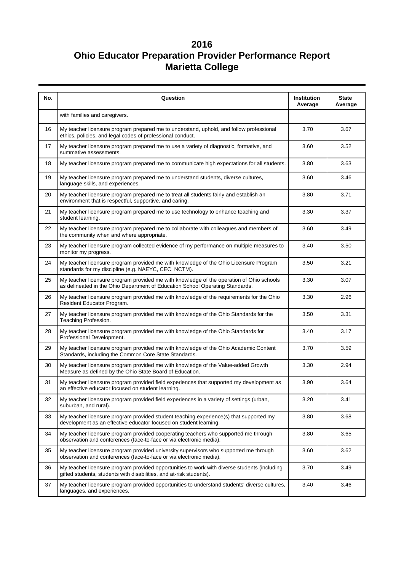| No. | Question                                                                                                                                                                  | Institution<br>Average | <b>State</b><br>Average |
|-----|---------------------------------------------------------------------------------------------------------------------------------------------------------------------------|------------------------|-------------------------|
|     | with families and caregivers.                                                                                                                                             |                        |                         |
| 16  | My teacher licensure program prepared me to understand, uphold, and follow professional<br>ethics, policies, and legal codes of professional conduct.                     | 3.70                   | 3.67                    |
| 17  | My teacher licensure program prepared me to use a variety of diagnostic, formative, and<br>summative assessments.                                                         | 3.60                   | 3.52                    |
| 18  | My teacher licensure program prepared me to communicate high expectations for all students.                                                                               | 3.80                   | 3.63                    |
| 19  | My teacher licensure program prepared me to understand students, diverse cultures,<br>language skills, and experiences.                                                   | 3.60                   | 3.46                    |
| 20  | My teacher licensure program prepared me to treat all students fairly and establish an<br>environment that is respectful, supportive, and caring.                         | 3.80                   | 3.71                    |
| 21  | My teacher licensure program prepared me to use technology to enhance teaching and<br>student learning.                                                                   | 3.30                   | 3.37                    |
| 22  | My teacher licensure program prepared me to collaborate with colleagues and members of<br>the community when and where appropriate.                                       | 3.60                   | 3.49                    |
| 23  | My teacher licensure program collected evidence of my performance on multiple measures to<br>monitor my progress.                                                         | 3.40                   | 3.50                    |
| 24  | My teacher licensure program provided me with knowledge of the Ohio Licensure Program<br>standards for my discipline (e.g. NAEYC, CEC, NCTM).                             | 3.50                   | 3.21                    |
| 25  | My teacher licensure program provided me with knowledge of the operation of Ohio schools<br>as delineated in the Ohio Department of Education School Operating Standards. | 3.30                   | 3.07                    |
| 26  | My teacher licensure program provided me with knowledge of the requirements for the Ohio<br>Resident Educator Program.                                                    | 3.30                   | 2.96                    |
| 27  | My teacher licensure program provided me with knowledge of the Ohio Standards for the<br>Teaching Profession.                                                             | 3.50                   | 3.31                    |
| 28  | My teacher licensure program provided me with knowledge of the Ohio Standards for<br>Professional Development.                                                            | 3.40                   | 3.17                    |
| 29  | My teacher licensure program provided me with knowledge of the Ohio Academic Content<br>Standards, including the Common Core State Standards.                             | 3.70                   | 3.59                    |
| 30  | My teacher licensure program provided me with knowledge of the Value-added Growth<br>Measure as defined by the Ohio State Board of Education.                             | 3.30                   | 2.94                    |
| 31  | My teacher licensure program provided field experiences that supported my development as<br>an effective educator focused on student learning.                            | 3.90                   | 3.64                    |
| 32  | My teacher licensure program provided field experiences in a variety of settings (urban,<br>suburban, and rural).                                                         | 3.20                   | 3.41                    |
| 33  | My teacher licensure program provided student teaching experience(s) that supported my<br>development as an effective educator focused on student learning.               | 3.80                   | 3.68                    |
| 34  | My teacher licensure program provided cooperating teachers who supported me through<br>observation and conferences (face-to-face or via electronic media).                | 3.80                   | 3.65                    |
| 35  | My teacher licensure program provided university supervisors who supported me through<br>observation and conferences (face-to-face or via electronic media).              | 3.60                   | 3.62                    |
| 36  | My teacher licensure program provided opportunities to work with diverse students (including<br>gifted students, students with disabilities, and at-risk students).       | 3.70                   | 3.49                    |
| 37  | My teacher licensure program provided opportunities to understand students' diverse cultures,<br>languages, and experiences.                                              | 3.40                   | 3.46                    |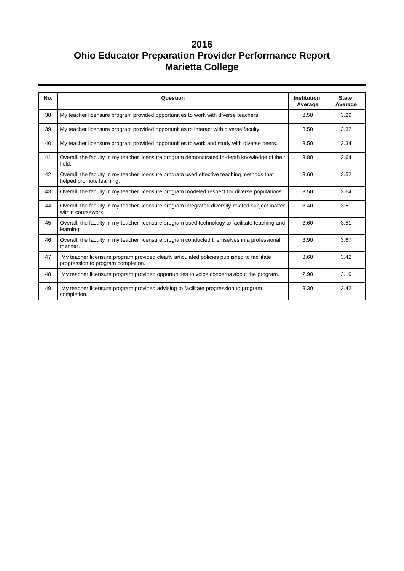| No. | Question                                                                                                                         | <b>Institution</b><br>Average | <b>State</b><br>Average |
|-----|----------------------------------------------------------------------------------------------------------------------------------|-------------------------------|-------------------------|
| 38  | My teacher licensure program provided opportunities to work with diverse teachers.                                               | 3.50                          | 3.29                    |
| 39  | My teacher licensure program provided opportunities to interact with diverse faculty.                                            | 3.50                          | 3.32                    |
| 40  | My teacher licensure program provided opportunities to work and study with diverse peers.                                        | 3.50                          | 3.34                    |
| 41  | Overall, the faculty in my teacher licensure program demonstrated in-depth knowledge of their<br>field.                          | 3.80                          | 3.64                    |
| 42  | Overall, the faculty in my teacher licensure program used effective teaching methods that<br>helped promote learning.            | 3.60                          | 3.52                    |
| 43  | Overall, the faculty in my teacher licensure program modeled respect for diverse populations.                                    | 3.50                          | 3.64                    |
| 44  | Overall, the faculty in my teacher licensure program integrated diversity-related subject matter<br>within coursework.           | 3.40                          | 3.51                    |
| 45  | Overall, the faculty in my teacher licensure program used technology to facilitate teaching and<br>learning.                     | 3.60                          | 3.51                    |
| 46  | Overall, the faculty in my teacher licensure program conducted themselves in a professional<br>manner.                           | 3.90                          | 3.67                    |
| 47  | My teacher licensure program provided clearly articulated policies published to facilitate<br>progression to program completion. | 3.60                          | 3.42                    |
| 48  | My teacher licensure program provided opportunities to voice concerns about the program.                                         | 2.90                          | 3.19                    |
| 49  | My teacher licensure program provided advising to facilitate progression to program<br>completion.                               | 3.30                          | 3.42                    |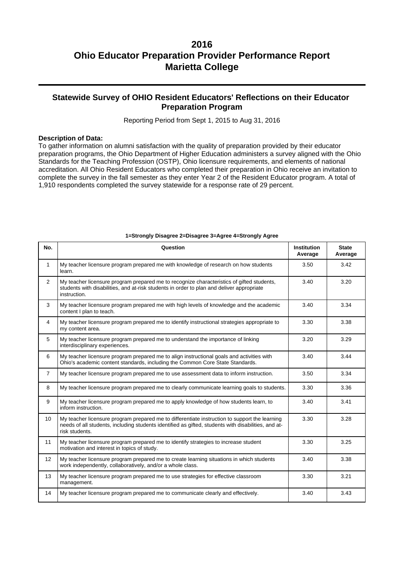### **Statewide Survey of OHIO Resident Educators' Reflections on their Educator Preparation Program**

Reporting Period from Sept 1, 2015 to Aug 31, 2016

#### **Description of Data:**

To gather information on alumni satisfaction with the quality of preparation provided by their educator preparation programs, the Ohio Department of Higher Education administers a survey aligned with the Ohio Standards for the Teaching Profession (OSTP), Ohio licensure requirements, and elements of national accreditation. All Ohio Resident Educators who completed their preparation in Ohio receive an invitation to complete the survey in the fall semester as they enter Year 2 of the Resident Educator program. A total of 1,910 respondents completed the survey statewide for a response rate of 29 percent.

| No.            | Question                                                                                                                                                                                                               | <b>Institution</b><br>Average | <b>State</b><br>Average |
|----------------|------------------------------------------------------------------------------------------------------------------------------------------------------------------------------------------------------------------------|-------------------------------|-------------------------|
| $\mathbf{1}$   | My teacher licensure program prepared me with knowledge of research on how students<br>learn.                                                                                                                          | 3.50                          | 3.42                    |
| $\overline{2}$ | My teacher licensure program prepared me to recognize characteristics of gifted students,<br>students with disabilities, and at-risk students in order to plan and deliver appropriate<br>instruction.                 | 3.40                          | 3.20                    |
| 3              | My teacher licensure program prepared me with high levels of knowledge and the academic<br>content I plan to teach.                                                                                                    | 3.40                          | 3.34                    |
| $\overline{4}$ | My teacher licensure program prepared me to identify instructional strategies appropriate to<br>my content area.                                                                                                       | 3.30                          | 3.38                    |
| 5              | My teacher licensure program prepared me to understand the importance of linking<br>interdisciplinary experiences.                                                                                                     | 3.20                          | 3.29                    |
| 6              | My teacher licensure program prepared me to align instructional goals and activities with<br>Ohio's academic content standards, including the Common Core State Standards.                                             | 3.40                          | 3.44                    |
| $\overline{7}$ | My teacher licensure program prepared me to use assessment data to inform instruction.                                                                                                                                 | 3.50                          | 3.34                    |
| 8              | My teacher licensure program prepared me to clearly communicate learning goals to students.                                                                                                                            | 3.30                          | 3.36                    |
| 9              | My teacher licensure program prepared me to apply knowledge of how students learn, to<br>inform instruction.                                                                                                           | 3.40                          | 3.41                    |
| 10             | My teacher licensure program prepared me to differentiate instruction to support the learning<br>needs of all students, including students identified as gifted, students with disabilities, and at-<br>risk students. | 3.30                          | 3.28                    |
| 11             | My teacher licensure program prepared me to identify strategies to increase student<br>motivation and interest in topics of study.                                                                                     | 3.30                          | 3.25                    |
| 12             | My teacher licensure program prepared me to create learning situations in which students<br>work independently, collaboratively, and/or a whole class.                                                                 | 3.40                          | 3.38                    |
| 13             | My teacher licensure program prepared me to use strategies for effective classroom<br>management.                                                                                                                      | 3.30                          | 3.21                    |
| 14             | My teacher licensure program prepared me to communicate clearly and effectively.                                                                                                                                       | 3.40                          | 3.43                    |

#### **1=Strongly Disagree 2=Disagree 3=Agree 4=Strongly Agree**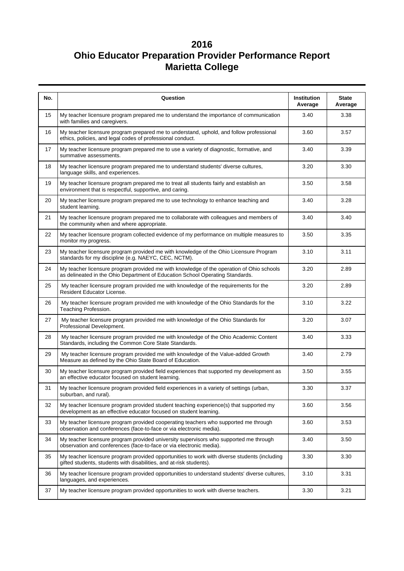| No. | Question                                                                                                                                                                  | <b>Institution</b><br>Average | <b>State</b><br>Average |
|-----|---------------------------------------------------------------------------------------------------------------------------------------------------------------------------|-------------------------------|-------------------------|
| 15  | My teacher licensure program prepared me to understand the importance of communication<br>with families and caregivers.                                                   | 3.40                          | 3.38                    |
| 16  | My teacher licensure program prepared me to understand, uphold, and follow professional<br>ethics, policies, and legal codes of professional conduct.                     | 3.60                          | 3.57                    |
| 17  | My teacher licensure program prepared me to use a variety of diagnostic, formative, and<br>summative assessments.                                                         | 3.40                          | 3.39                    |
| 18  | My teacher licensure program prepared me to understand students' diverse cultures,<br>language skills, and experiences.                                                   | 3.20                          | 3.30                    |
| 19  | My teacher licensure program prepared me to treat all students fairly and establish an<br>environment that is respectful, supportive, and caring.                         | 3.50                          | 3.58                    |
| 20  | My teacher licensure program prepared me to use technology to enhance teaching and<br>student learning.                                                                   | 3.40                          | 3.28                    |
| 21  | My teacher licensure program prepared me to collaborate with colleagues and members of<br>the community when and where appropriate.                                       | 3.40                          | 3.40                    |
| 22  | My teacher licensure program collected evidence of my performance on multiple measures to<br>monitor my progress.                                                         | 3.50                          | 3.35                    |
| 23  | My teacher licensure program provided me with knowledge of the Ohio Licensure Program<br>standards for my discipline (e.g. NAEYC, CEC, NCTM).                             | 3.10                          | 3.11                    |
| 24  | My teacher licensure program provided me with knowledge of the operation of Ohio schools<br>as delineated in the Ohio Department of Education School Operating Standards. | 3.20                          | 2.89                    |
| 25  | My teacher licensure program provided me with knowledge of the requirements for the<br>Resident Educator License.                                                         | 3.20                          | 2.89                    |
| 26  | My teacher licensure program provided me with knowledge of the Ohio Standards for the<br>Teaching Profession.                                                             | 3.10                          | 3.22                    |
| 27  | My teacher licensure program provided me with knowledge of the Ohio Standards for<br>Professional Development.                                                            | 3.20                          | 3.07                    |
| 28  | My teacher licensure program provided me with knowledge of the Ohio Academic Content<br>Standards, including the Common Core State Standards.                             | 3.40                          | 3.33                    |
| 29  | My teacher licensure program provided me with knowledge of the Value-added Growth<br>Measure as defined by the Ohio State Board of Education.                             | 3.40                          | 2.79                    |
| 30  | My teacher licensure program provided field experiences that supported my development as<br>an effective educator focused on student learning.                            | 3.50                          | 3.55                    |
| 31  | My teacher licensure program provided field experiences in a variety of settings (urban,<br>suburban, and rural).                                                         | 3.30                          | 3.37                    |
| 32  | My teacher licensure program provided student teaching experience(s) that supported my<br>development as an effective educator focused on student learning.               | 3.60                          | 3.56                    |
| 33  | My teacher licensure program provided cooperating teachers who supported me through<br>observation and conferences (face-to-face or via electronic media).                | 3.60                          | 3.53                    |
| 34  | My teacher licensure program provided university supervisors who supported me through<br>observation and conferences (face-to-face or via electronic media).              | 3.40                          | 3.50                    |
| 35  | My teacher licensure program provided opportunities to work with diverse students (including<br>gifted students, students with disabilities, and at-risk students).       | 3.30                          | 3.30                    |
| 36  | My teacher licensure program provided opportunities to understand students' diverse cultures,<br>languages, and experiences.                                              | 3.10                          | 3.31                    |
| 37  | My teacher licensure program provided opportunities to work with diverse teachers.                                                                                        | 3.30                          | 3.21                    |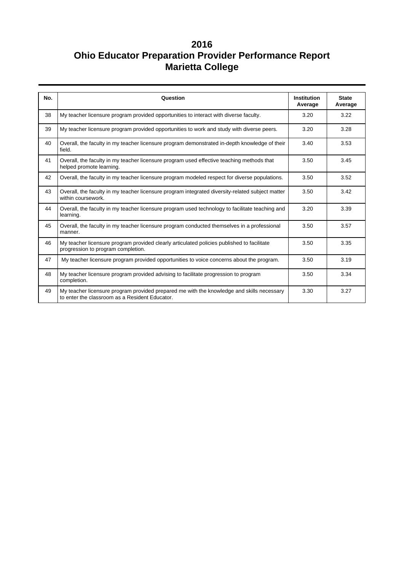| No. | Question                                                                                                                                    | <b>Institution</b><br>Average | <b>State</b><br>Average |
|-----|---------------------------------------------------------------------------------------------------------------------------------------------|-------------------------------|-------------------------|
| 38  | My teacher licensure program provided opportunities to interact with diverse faculty.                                                       | 3.20                          | 3.22                    |
| 39  | My teacher licensure program provided opportunities to work and study with diverse peers.                                                   | 3.20                          | 3.28                    |
| 40  | Overall, the faculty in my teacher licensure program demonstrated in-depth knowledge of their<br>field.                                     | 3.40                          | 3.53                    |
| 41  | Overall, the faculty in my teacher licensure program used effective teaching methods that<br>helped promote learning.                       | 3.50                          | 3.45                    |
| 42  | Overall, the faculty in my teacher licensure program modeled respect for diverse populations.                                               | 3.50                          | 3.52                    |
| 43  | Overall, the faculty in my teacher licensure program integrated diversity-related subject matter<br>within coursework.                      | 3.50                          | 3.42                    |
| 44  | Overall, the faculty in my teacher licensure program used technology to facilitate teaching and<br>learning.                                | 3.20                          | 3.39                    |
| 45  | Overall, the faculty in my teacher licensure program conducted themselves in a professional<br>manner.                                      | 3.50                          | 3.57                    |
| 46  | My teacher licensure program provided clearly articulated policies published to facilitate<br>progression to program completion.            | 3.50                          | 3.35                    |
| 47  | My teacher licensure program provided opportunities to voice concerns about the program.                                                    | 3.50                          | 3.19                    |
| 48  | My teacher licensure program provided advising to facilitate progression to program<br>completion.                                          | 3.50                          | 3.34                    |
| 49  | My teacher licensure program provided prepared me with the knowledge and skills necessary<br>to enter the classroom as a Resident Educator. | 3.30                          | 3.27                    |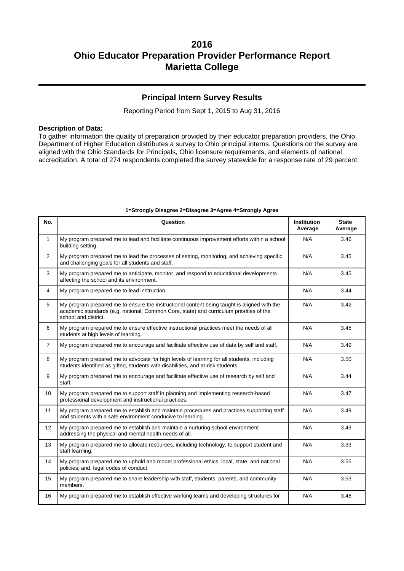### **Principal Intern Survey Results**

Reporting Period from Sept 1, 2015 to Aug 31, 2016

#### **Description of Data:**

To gather information the quality of preparation provided by their educator preparation providers, the Ohio Department of Higher Education distributes a survey to Ohio principal interns. Questions on the survey are aligned with the Ohio Standards for Principals, Ohio licensure requirements, and elements of national accreditation. A total of 274 respondents completed the survey statewide for a response rate of 29 percent.

| No.            | Question                                                                                                                                                                                                       | <b>Institution</b><br>Average | <b>State</b><br>Average |
|----------------|----------------------------------------------------------------------------------------------------------------------------------------------------------------------------------------------------------------|-------------------------------|-------------------------|
| 1              | My program prepared me to lead and facilitate continuous improvement efforts within a school<br>building setting.                                                                                              | N/A                           | 3.46                    |
| $\overline{2}$ | My program prepared me to lead the processes of setting, monitoring, and achieving specific<br>and challenging goals for all students and staff.                                                               | N/A                           | 3.45                    |
| 3              | My program prepared me to anticipate, monitor, and respond to educational developments<br>affecting the school and its environment.                                                                            | N/A                           | 3.45                    |
| 4              | My program prepared me to lead instruction.                                                                                                                                                                    | N/A                           | 3.44                    |
| 5              | My program prepared me to ensure the instructional content being taught is aligned with the<br>academic standards (e.g. national, Common Core, state) and curriculum priorities of the<br>school and district. | N/A                           | 3.42                    |
| 6              | My program prepared me to ensure effective instructional practices meet the needs of all<br>students at high levels of learning.                                                                               | N/A                           | 3.45                    |
| $\overline{7}$ | My program prepared me to encourage and facilitate effective use of data by self and staff.                                                                                                                    | N/A                           | 3.49                    |
| 8              | My program prepared me to advocate for high levels of learning for all students, including<br>students identified as gifted, students with disabilities, and at-risk students.                                 | N/A                           | 3.50                    |
| 9              | My program prepared me to encourage and facilitate effective use of research by self and<br>staff.                                                                                                             | N/A                           | 3.44                    |
| 10             | My program prepared me to support staff in planning and implementing research-based<br>professional development and instructional practices.                                                                   | N/A                           | 3.47                    |
| 11             | My program prepared me to establish and maintain procedures and practices supporting staff<br>and students with a safe environment conducive to learning.                                                      | N/A                           | 3.49                    |
| 12             | My program prepared me to establish and maintain a nurturing school environment<br>addressing the physical and mental health needs of all.                                                                     | N/A                           | 3.49                    |
| 13             | My program prepared me to allocate resources, including technology, to support student and<br>staff learning.                                                                                                  | N/A                           | 3.33                    |
| 14             | My program prepared me to uphold and model professional ethics; local, state, and national<br>policies; and, legal codes of conduct                                                                            | N/A                           | 3.55                    |
| 15             | My program prepared me to share leadership with staff, students, parents, and community<br>members.                                                                                                            | N/A                           | 3.53                    |
| 16             | My program prepared me to establish effective working teams and developing structures for                                                                                                                      | N/A                           | 3.48                    |

#### **1=Strongly Disagree 2=Disagree 3=Agree 4=Strongly Agree**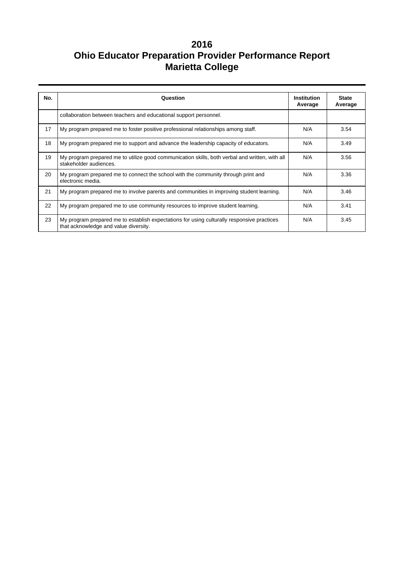| No. | Question                                                                                                                            | <b>Institution</b><br>Average | <b>State</b><br>Average |  |
|-----|-------------------------------------------------------------------------------------------------------------------------------------|-------------------------------|-------------------------|--|
|     | collaboration between teachers and educational support personnel.                                                                   |                               |                         |  |
| 17  | My program prepared me to foster positive professional relationships among staff.                                                   | N/A                           | 3.54                    |  |
| 18  | My program prepared me to support and advance the leadership capacity of educators.                                                 | N/A                           | 3.49                    |  |
| 19  | My program prepared me to utilize good communication skills, both verbal and written, with all<br>stakeholder audiences.            | N/A                           | 3.56                    |  |
| 20  | My program prepared me to connect the school with the community through print and<br>electronic media.                              | N/A                           | 3.36                    |  |
| 21  | My program prepared me to involve parents and communities in improving student learning.                                            | N/A                           | 3.46                    |  |
| 22  | My program prepared me to use community resources to improve student learning.                                                      | N/A                           | 3.41                    |  |
| 23  | My program prepared me to establish expectations for using culturally responsive practices<br>that acknowledge and value diversity. | N/A                           | 3.45                    |  |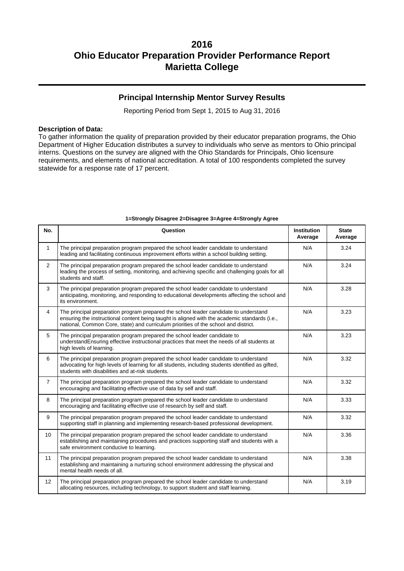### **Principal Internship Mentor Survey Results**

Reporting Period from Sept 1, 2015 to Aug 31, 2016

#### **Description of Data:**

To gather information the quality of preparation provided by their educator preparation programs, the Ohio Department of Higher Education distributes a survey to individuals who serve as mentors to Ohio principal interns. Questions on the survey are aligned with the Ohio Standards for Principals, Ohio licensure requirements, and elements of national accreditation. A total of 100 respondents completed the survey statewide for a response rate of 17 percent.

| No.            | Question                                                                                                                                                                                                                                                                     | <b>Institution</b><br>Average | <b>State</b><br>Average |
|----------------|------------------------------------------------------------------------------------------------------------------------------------------------------------------------------------------------------------------------------------------------------------------------------|-------------------------------|-------------------------|
| $\mathbf{1}$   | The principal preparation program prepared the school leader candidate to understand<br>leading and facilitating continuous improvement efforts within a school building setting.                                                                                            | N/A                           | 3.24                    |
| $\overline{2}$ | The principal preparation program prepared the school leader candidate to understand<br>leading the process of setting, monitoring, and achieving specific and challenging goals for all<br>students and staff.                                                              | N/A                           | 3.24                    |
| 3              | The principal preparation program prepared the school leader candidate to understand<br>anticipating, monitoring, and responding to educational developments affecting the school and<br>its environment.                                                                    | N/A                           | 3.28                    |
| $\overline{4}$ | The principal preparation program prepared the school leader candidate to understand<br>ensuring the instructional content being taught is aligned with the academic standards (i.e.,<br>national, Common Core, state) and curriculum priorities of the school and district. | N/A                           | 3.23                    |
| 5              | The principal preparation program prepared the school leader candidate to<br>understandEnsuring effective instructional practices that meet the needs of all students at<br>high levels of learning.                                                                         | N/A                           | 3.23                    |
| 6              | The principal preparation program prepared the school leader candidate to understand<br>advocating for high levels of learning for all students, including students identified as gifted,<br>students with disabilities and at-risk students.                                | N/A                           | 3.32                    |
| $\overline{7}$ | The principal preparation program prepared the school leader candidate to understand<br>encouraging and facilitating effective use of data by self and staff.                                                                                                                | N/A                           | 3.32                    |
| 8              | The principal preparation program prepared the school leader candidate to understand<br>encouraging and facilitating effective use of research by self and staff.                                                                                                            | N/A                           | 3.33                    |
| 9              | The principal preparation program prepared the school leader candidate to understand<br>supporting staff in planning and implementing research-based professional development.                                                                                               | N/A                           | 3.32                    |
| 10             | The principal preparation program prepared the school leader candidate to understand<br>establishing and maintaining procedures and practices supporting staff and students with a<br>safe environment conducive to learning.                                                | N/A                           | 3.36                    |
| 11             | The principal preparation program prepared the school leader candidate to understand<br>establishing and maintaining a nurturing school environment addressing the physical and<br>mental health needs of all.                                                               | N/A                           | 3.38                    |
| 12             | The principal preparation program prepared the school leader candidate to understand<br>allocating resources, including technology, to support student and staff learning.                                                                                                   | N/A                           | 3.19                    |

#### **1=Strongly Disagree 2=Disagree 3=Agree 4=Strongly Agree**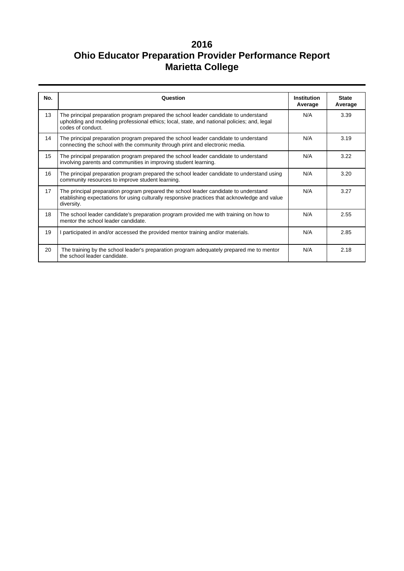| No. | Question                                                                                                                                                                                                 | Institution<br>Average | <b>State</b><br>Average |
|-----|----------------------------------------------------------------------------------------------------------------------------------------------------------------------------------------------------------|------------------------|-------------------------|
| 13  | The principal preparation program prepared the school leader candidate to understand<br>upholding and modeling professional ethics; local, state, and national policies; and, legal<br>codes of conduct. | N/A                    | 3.39                    |
| 14  | The principal preparation program prepared the school leader candidate to understand<br>connecting the school with the community through print and electronic media.                                     | N/A                    | 3.19                    |
| 15  | The principal preparation program prepared the school leader candidate to understand<br>involving parents and communities in improving student learning.                                                 | N/A                    | 3.22                    |
| 16  | The principal preparation program prepared the school leader candidate to understand using<br>community resources to improve student learning.                                                           | N/A                    | 3.20                    |
| 17  | The principal preparation program prepared the school leader candidate to understand<br>etablishing expectations for using culturally responsive practices that acknowledge and value<br>diversity.      | N/A                    | 3.27                    |
| 18  | The school leader candidate's preparation program provided me with training on how to<br>mentor the school leader candidate.                                                                             | N/A                    | 2.55                    |
| 19  | I participated in and/or accessed the provided mentor training and/or materials.                                                                                                                         | N/A                    | 2.85                    |
| 20  | The training by the school leader's preparation program adequately prepared me to mentor<br>the school leader candidate.                                                                                 | N/A                    | 2.18                    |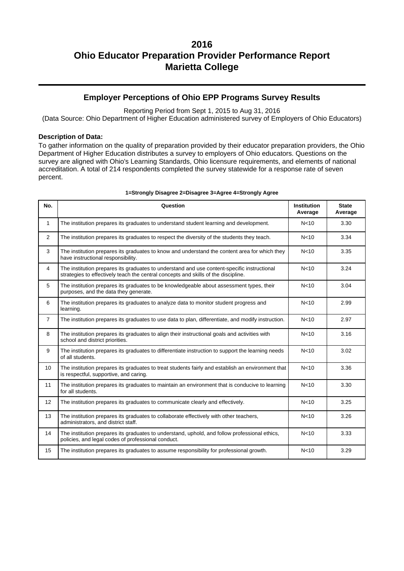### **Employer Perceptions of Ohio EPP Programs Survey Results**

Reporting Period from Sept 1, 2015 to Aug 31, 2016

(Data Source: Ohio Department of Higher Education administered survey of Employers of Ohio Educators)

#### **Description of Data:**

To gather information on the quality of preparation provided by their educator preparation providers, the Ohio Department of Higher Education distributes a survey to employers of Ohio educators. Questions on the survey are aligned with Ohio's Learning Standards, Ohio licensure requirements, and elements of national accreditation. A total of 214 respondents completed the survey statewide for a response rate of seven percent.

| No.            | Question                                                                                                                                                                          | <b>Institution</b><br>Average | <b>State</b><br>Average |
|----------------|-----------------------------------------------------------------------------------------------------------------------------------------------------------------------------------|-------------------------------|-------------------------|
| $\mathbf{1}$   | The institution prepares its graduates to understand student learning and development.                                                                                            | N <sub>10</sub>               | 3.30                    |
| 2              | The institution prepares its graduates to respect the diversity of the students they teach.                                                                                       | N <sub>10</sub>               | 3.34                    |
| 3              | The institution prepares its graduates to know and understand the content area for which they<br>have instructional responsibility.                                               | N < 10                        | 3.35                    |
| $\overline{4}$ | The institution prepares its graduates to understand and use content-specific instructional<br>strategies to effectively teach the central concepts and skills of the discipline. | N <sub>10</sub>               | 3.24                    |
| 5              | The institution prepares its graduates to be knowledgeable about assessment types, their<br>purposes, and the data they generate.                                                 | N <sub>10</sub>               | 3.04                    |
| 6              | The institution prepares its graduates to analyze data to monitor student progress and<br>learning.                                                                               | N <sub>10</sub>               | 2.99                    |
| $\overline{7}$ | The institution prepares its graduates to use data to plan, differentiate, and modify instruction.                                                                                | N <sub>10</sub>               | 2.97                    |
| 8              | The institution prepares its graduates to align their instructional goals and activities with<br>school and district priorities.                                                  | N <sub>10</sub>               | 3.16                    |
| 9              | The institution prepares its graduates to differentiate instruction to support the learning needs<br>of all students.                                                             | N <sub>10</sub>               | 3.02                    |
| 10             | The institution prepares its graduates to treat students fairly and establish an environment that<br>is respectful, supportive, and caring.                                       | N <sub>10</sub>               | 3.36                    |
| 11             | The institution prepares its graduates to maintain an environment that is conducive to learning<br>for all students.                                                              | N <sub>10</sub>               | 3.30                    |
| 12             | The institution prepares its graduates to communicate clearly and effectively.                                                                                                    | N <sub>10</sub>               | 3.25                    |
| 13             | The institution prepares its graduates to collaborate effectively with other teachers,<br>administrators, and district staff.                                                     | N <sub>10</sub>               | 3.26                    |
| 14             | The institution prepares its graduates to understand, uphold, and follow professional ethics,<br>policies, and legal codes of professional conduct.                               | N <sub>10</sub>               | 3.33                    |
| 15             | The institution prepares its graduates to assume responsibility for professional growth.                                                                                          | N <sub>10</sub>               | 3.29                    |

#### **1=Strongly Disagree 2=Disagree 3=Agree 4=Strongly Agree**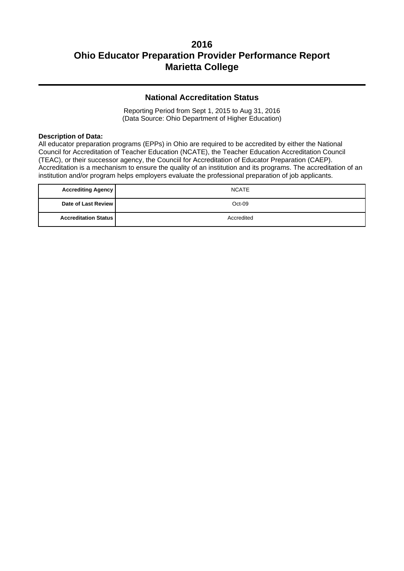### **National Accreditation Status**

Reporting Period from Sept 1, 2015 to Aug 31, 2016 (Data Source: Ohio Department of Higher Education)

#### **Description of Data:**

All educator preparation programs (EPPs) in Ohio are required to be accredited by either the National Council for Accreditation of Teacher Education (NCATE), the Teacher Education Accreditation Council (TEAC), or their successor agency, the Counciil for Accreditation of Educator Preparation (CAEP). Accreditation is a mechanism to ensure the quality of an institution and its programs. The accreditation of an institution and/or program helps employers evaluate the professional preparation of job applicants.

| <b>Accrediting Agency</b>     | <b>NCATE</b> |
|-------------------------------|--------------|
| Date of Last Review           | Oct-09       |
| <b>Accreditation Status  </b> | Accredited   |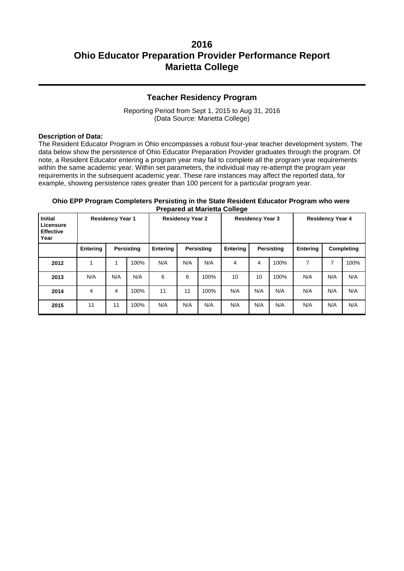### **Teacher Residency Program**

Reporting Period from Sept 1, 2015 to Aug 31, 2016 (Data Source: Marietta College)

#### **Description of Data:**

The Resident Educator Program in Ohio encompasses a robust four-year teacher development system. The data below show the persistence of Ohio Educator Preparation Provider graduates through the program. Of note, a Resident Educator entering a program year may fail to complete all the program year requirements within the same academic year. Within set parameters, the individual may re-attempt the program year requirements in the subsequent academic year. These rare instances may affect the reported data, for example, showing persistence rates greater than 100 percent for a particular program year.

#### **Ohio EPP Program Completers Persisting in the State Resident Educator Program who were Prepared at Marietta College**

| <b>Initial</b><br><b>Residency Year 1</b><br>Licensure<br><b>Effective</b><br>Year |                               |     | <b>Residency Year 2</b> |            | <b>Residency Year 3</b> |                 |                   | <b>Residency Year 4</b> |                 |     |            |      |
|------------------------------------------------------------------------------------|-------------------------------|-----|-------------------------|------------|-------------------------|-----------------|-------------------|-------------------------|-----------------|-----|------------|------|
|                                                                                    | <b>Entering</b><br>Persisting |     | Entering                | Persisting |                         | <b>Entering</b> | <b>Persisting</b> |                         | <b>Entering</b> |     | Completing |      |
| 2012                                                                               | 1                             |     | 100%                    | N/A        | N/A                     | N/A             | 4                 | 4                       | 100%            | 7   | ⇁          | 100% |
| 2013                                                                               | N/A                           | N/A | N/A                     | 6          | 6                       | 100%            | 10                | 10                      | 100%            | N/A | N/A        | N/A  |
| 2014                                                                               | 4                             | 4   | 100%                    | 11         | 11                      | 100%            | N/A               | N/A                     | N/A             | N/A | N/A        | N/A  |
| 2015                                                                               | 11                            | 11  | 100%                    | N/A        | N/A                     | N/A             | N/A               | N/A                     | N/A             | N/A | N/A        | N/A  |